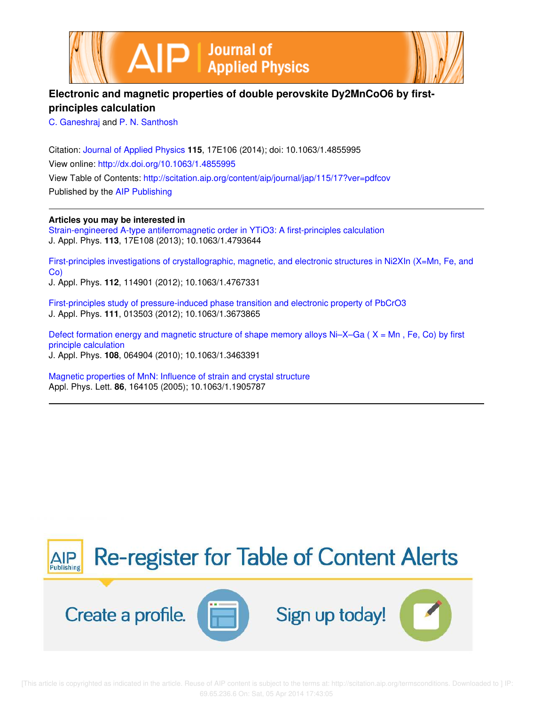



# **Electronic and magnetic properties of double perovskite Dy2MnCoO6 by firstprinciples calculation**

C. Ganeshraj and P. N. Santhosh

Citation: Journal of Applied Physics **115**, 17E106 (2014); doi: 10.1063/1.4855995 View online: http://dx.doi.org/10.1063/1.4855995 View Table of Contents: http://scitation.aip.org/content/aip/journal/jap/115/17?ver=pdfcov Published by the AIP Publishing

**Articles you may be interested in**

Strain-engineered A-type antiferromagnetic order in YTiO3: A first-principles calculation J. Appl. Phys. **113**, 17E108 (2013); 10.1063/1.4793644

First-principles investigations of crystallographic, magnetic, and electronic structures in Ni2XIn (X=Mn, Fe, and Co)

J. Appl. Phys. **112**, 114901 (2012); 10.1063/1.4767331

First-principles study of pressure-induced phase transition and electronic property of PbCrO3 J. Appl. Phys. **111**, 013503 (2012); 10.1063/1.3673865

Defect formation energy and magnetic structure of shape memory alloys  $Ni-X-Ga$  ( $X = Mn$ , Fe, Co) by first principle calculation J. Appl. Phys. **108**, 064904 (2010); 10.1063/1.3463391

Magnetic properties of MnN: Influence of strain and crystal structure Appl. Phys. Lett. **86**, 164105 (2005); 10.1063/1.1905787

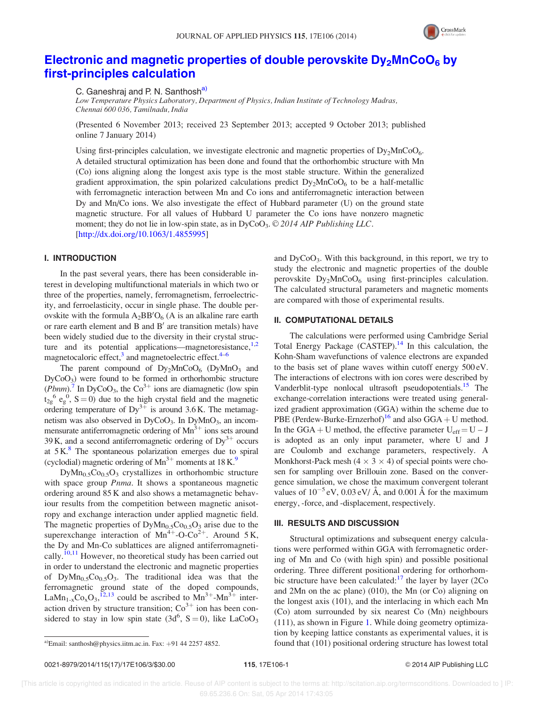

# Electronic and magnetic properties of double perovskite  $Dy_2MnCoO_6$  by first-principles calculation

C. Ganeshrai and P. N. Santhosh<sup>a)</sup>

Low Temperature Physics Laboratory, Department of Physics, Indian Institute of Technology Madras, Chennai 600 036, Tamilnadu, India

(Presented 6 November 2013; received 23 September 2013; accepted 9 October 2013; published online 7 January 2014)

Using first-principles calculation, we investigate electronic and magnetic properties of  $Dy_2MnCoO_6$ . A detailed structural optimization has been done and found that the orthorhombic structure with Mn (Co) ions aligning along the longest axis type is the most stable structure. Within the generalized gradient approximation, the spin polarized calculations predict  $Dy_2MnCoO_6$  to be a half-metallic with ferromagnetic interaction between Mn and Co ions and antiferromagnetic interaction between Dy and Mn/Co ions. We also investigate the effect of Hubbard parameter (U) on the ground state magnetic structure. For all values of Hubbard U parameter the Co ions have nonzero magnetic moment; they do not lie in low-spin state, as in  $DyCoO<sub>3</sub>$ .  $\odot$  2014 AIP Publishing LLC. [http://dx.doi.org/10.1063/1.4855995]

## I. INTRODUCTION

In the past several years, there has been considerable interest in developing multifunctional materials in which two or three of the properties, namely, ferromagnetism, ferroelectricity, and ferroelasticity, occur in single phase. The double perovskite with the formula  $A_2BB'O_6$  (A is an alkaline rare earth or rare earth element and  $B$  and  $B'$  are transition metals) have been widely studied due to the diversity in their crystal structure and its potential applications—magnetoresistance, $1,2$ magnetocaloric effect,<sup>3</sup> and magnetoelectric effect.<sup>4–6</sup>

The parent compound of  $Dy_2MnCoO_6$  (DyMnO<sub>3</sub> and  $DyCoO<sub>3</sub>$ ) were found to be formed in orthorhombic structure  $(Pbnm)$ .<sup>7</sup> In DyCoO<sub>3</sub>, the Co<sup>3+</sup> ions are diamagnetic (low spin  $t_{2g}^6$  e<sub>g</sub><sup>0</sup>, S = 0) due to the high crystal field and the magnetic ordering temperature of  $Dy^{3+}$  is around 3.6 K. The metamagnetism was also observed in DyCoO<sub>3</sub>. In DyMnO<sub>3</sub>, an incommensurate antiferromagnetic ordering of  $Mn^{3+}$  ions sets around 39 K, and a second antiferromagnetic ordering of  $Dy^{3+}$  occurs at  $5K$ .<sup>8</sup> The spontaneous polarization emerges due to spiral (cyclodial) magnetic ordering of  $Mn^{3+}$  moments at 18 K.<sup>9</sup>

 $DyMn_0$ <sub>5</sub> $Co_0$ <sub>5</sub> $O_3$  crystallizes in orthorhombic structure with space group Pnma. It shows a spontaneous magnetic ordering around 85 K and also shows a metamagnetic behaviour results from the competition between magnetic anisotropy and exchange interaction under applied magnetic field. The magnetic properties of  $DyMn<sub>0.5</sub>Co<sub>0.5</sub>O<sub>3</sub>$  arise due to the superexchange interaction of  $Mn^{4+}$ -O-Co<sup>2+</sup>. Around 5K, the Dy and Mn-Co sublattices are aligned antiferromagnetically.<sup>10,11</sup> However, no theoretical study has been carried out in order to understand the electronic and magnetic properties of  $DyMn_{0.5}Co_{0.5}O_3$ . The traditional idea was that the ferromagnetic ground state of the doped compounds, LaMn<sub>1-x</sub>Co<sub>x</sub>O<sub>3</sub>,<sup>12,13</sup> could be ascribed to Mn<sup>3+</sup>-Mn<sup>3+</sup> interaction driven by structure transition;  $\text{Co}^{3+}$  ion has been considered to stay in low spin state  $(3d^6, S=0)$ , like LaCoO<sub>3</sub>

and  $\text{DyCoO}_3$ . With this background, in this report, we try to study the electronic and magnetic properties of the double perovskite  $Dy_2MnCoO_6$  using first-principles calculation. The calculated structural parameters and magnetic moments are compared with those of experimental results.

#### II. COMPUTATIONAL DETAILS

The calculations were performed using Cambridge Serial Total Energy Package (CASTEP).<sup>14</sup> In this calculation, the Kohn-Sham wavefunctions of valence electrons are expanded to the basis set of plane waves within cutoff energy 500 eV. The interactions of electrons with ion cores were described by Vanderblit-type nonlocal ultrasoft pseudopotentials.<sup>15</sup> The exchange-correlation interactions were treated using generalized gradient approximation (GGA) within the scheme due to PBE (Perdew-Burke-Ernzerhof)<sup>16</sup> and also GGA + U method. In the GGA + U method, the effective parameter  $U_{eff} = U - J$ is adopted as an only input parameter, where U and J are Coulomb and exchange parameters, respectively. A Monkhorst-Pack mesh  $(4 \times 3 \times 4)$  of special points were chosen for sampling over Brillouin zone. Based on the convergence simulation, we chose the maximum convergent tolerant values of  $10^{-5}$  eV, 0.03 eV/ Å, and 0.001 Å for the maximum energy, -force, and -displacement, respectively.

#### III. RESULTS AND DISCUSSION

Structural optimizations and subsequent energy calculations were performed within GGA with ferromagnetic ordering of Mn and Co (with high spin) and possible positional ordering. Three different positional ordering for orthorhombic structure have been calculated: $17$  the layer by layer (2Co) and 2Mn on the ac plane) (010), the Mn (or Co) aligning on the longest axis (101), and the interlacing in which each Mn (Co) atom surrounded by six nearest Co (Mn) neighbours (111), as shown in Figure 1. While doing geometry optimization by keeping lattice constants as experimental values, it is a)Email: santhosh@physics.iitm.ac.in. Fax: +91 44 2257 4852. found that (101) positional ordering structure has lowest total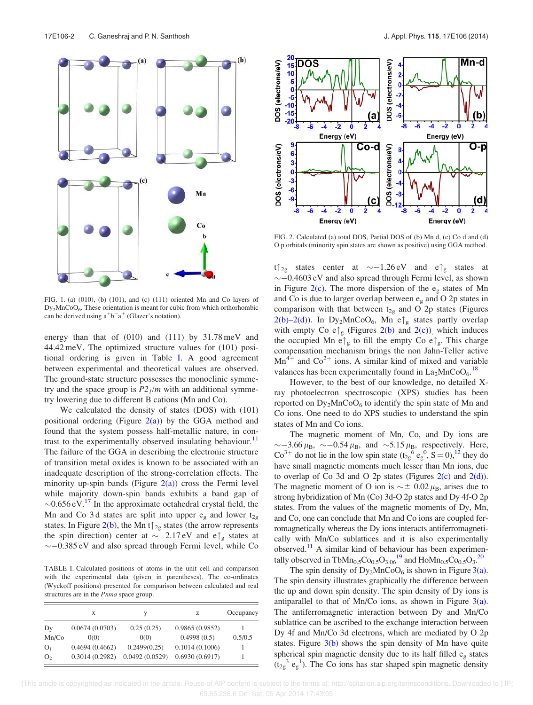

FIG. 1. (a) (010), (b) (101), and (c) (111) oriented Mn and Co layers of Dy2MnCoO6. These orientation is meant for cubic from which orthorhombic can be derived using  $a^+b^-a^+$  (Glazer's notation).

energy than that of  $(010)$  and  $(111)$  by  $31.78 \text{ meV}$  and 44.42 meV. The optimized structure values for (101) positional ordering is given in Table I. A good agreement between experimental and theoretical values are observed. The ground-state structure possesses the monoclinic symmetry and the space group is  $P2_1/m$  with an additional symmetry lowering due to different B cations (Mn and Co).

We calculated the density of states (DOS) with (101) positional ordering (Figure  $2(a)$ ) by the GGA method and found that the system possess half-metallic nature, in contrast to the experimentally observed insulating behaviour.<sup>11</sup> The failure of the GGA in describing the electronic structure of transition metal oxides is known to be associated with an inadequate description of the strong-correlation effects. The minority up-spin bands (Figure  $2(a)$ ) cross the Fermi level while majority down-spin bands exhibits a band gap of  $\sim 0.656 \, \text{eV}$ .<sup>17</sup> In the approximate octahedral crystal field, the Mn and Co 3d states are split into upper  $e_{g}$  and lower  $t_{2g}$ states. In Figure 2(b), the Mn t $\uparrow$ <sub>2g</sub> states (the arrow represents the spin direction) center at  $\sim$  -2.17 eV and e $\int_{\mathcal{R}}$  states at  $\sim$  -0.385 eV and also spread through Fermi level, while Co

TABLE I. Calculated positions of atoms in the unit cell and comparison with the experimental data (given in parentheses). The co-ordinates (Wyckoff positions) presented for comparison between calculated and real structures are in the Pnma space group.

|                | X              | V              | z              | Occupancy |
|----------------|----------------|----------------|----------------|-----------|
| Dy             | 0.0674(0.0703) | 0.25(0.25)     | 0.9865(0.9852) |           |
| Mn/Co          | 0(0)           | 0(0)           | 0.4998(0.5)    | 0.5/0.5   |
| O <sub>1</sub> | 0.4694(0.4662) | 0.2499(0.25)   | 0.1014(0.1006) |           |
| O <sub>2</sub> | 0.3014(0.2982) | 0.0492(0.0529) | 0.6930(0.6917) |           |



FIG. 2. Calculated (a) total DOS, Partial DOS of (b) Mn d, (c) Co d and (d) O p orbitals (minority spin states are shown as positive) using GGA method.

 $t\uparrow_{2g}$  states center at  $\sim -1.26 \text{ eV}$  and  $e\uparrow_{g}$  states at  $\sim$  -0.4603 eV and also spread through Fermi level, as shown in Figure 2(c). The more dispersion of the  $e_{\rm g}$  states of Mn and Co is due to larger overlap between  $e_{g}$  and O 2p states in comparison with that between  $t_{2g}$  and O 2p states (Figures 2(b)–2(d)). In Dy<sub>2</sub>MnCoO<sub>6</sub>, Mn e $\uparrow_g$  states partly overlap with empty Co  $e \uparrow_{g}$  (Figures 2(b) and 2(c)), which induces the occupied Mn e $\uparrow_g$  to fill the empty Co e $\uparrow_g$ . This charge compensation mechanism brings the non Jahn-Teller active  $Mn^{4+}$  and  $Co^{2+}$  ions. A similar kind of mixed and variable valances has been experimentally found in  $La_2MnCoO<sub>6</sub>.<sup>18</sup>$ 

However, to the best of our knowledge, no detailed Xray photoelectron spectroscopic (XPS) studies has been reported on  $Dy_2MnCoO_6$  to identify the spin state of Mn and Co ions. One need to do XPS studies to understand the spin states of Mn and Co ions.

The magnetic moment of Mn, Co, and Dy ions are  $\sim$  -3.66  $\mu_{\rm B}$ ,  $\sim$  -0.54  $\mu_{\rm B}$ , and  $\sim$ 5.15  $\mu_{\rm B}$ , respectively. Here,  $Co^{3+}$  do not lie in the low spin state  $(t_{2g}^6 e_g^0, \dot{S} = 0),^{12}$  they do have small magnetic moments much lesser than Mn ions, due to overlap of Co 3d and O 2p states (Figures  $2(c)$  and  $2(d)$ ). The magnetic moment of O ion is  $\sim \pm 0.02 \mu_{\text{B}}$ , arises due to strong hybridization of Mn (Co) 3d-O 2p states and Dy 4f-O 2p states. From the values of the magnetic moments of Dy, Mn, and Co, one can conclude that Mn and Co ions are coupled ferromagnetically whereas the Dy ions interacts antiferromagnetically with Mn/Co sublattices and it is also experimentally observed.<sup>11</sup> A similar kind of behaviour has been experimentally observed in TbMn<sub>0.5</sub>Co<sub>0.5</sub>O<sub>3.06</sub><sup>19</sup> and HoMn<sub>0.5</sub>Co<sub>0.5</sub>O<sub>3</sub>.<sup>20</sup>

The spin density of  $Dy_2MnCoO_6$  is shown in Figure 3(a). The spin density illustrates graphically the difference between the up and down spin density. The spin density of Dy ions is antiparallel to that of Mn/Co ions, as shown in Figure  $3(a)$ . The antiferromagnetic interaction between Dy and Mn/Co sublattice can be ascribed to the exchange interaction between Dy 4f and Mn/Co 3d electrons, which are mediated by O 2p states. Figure  $3(b)$  shows the spin density of Mn have quite spherical spin magnetic density due to its half filled  $e_{\rm g}$  states  $(t_{2g}^3 e_g^1)$ . The Co ions has star shaped spin magnetic density

 [This article is copyrighted as indicated in the article. Reuse of AIP content is subject to the terms at: http://scitation.aip.org/termsconditions. Downloaded to ] IP: 69.65.236.6 On: Sat, 05 Apr 2014 17:43:05